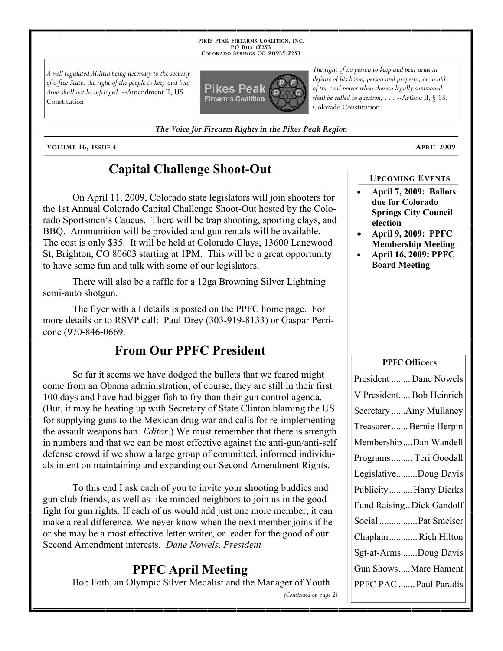**PIKES PEAK FIREARMS COALITION, INC. PO BOX 17253 COLORADO SPRINGS CO 80935 -7253**

*A well regulated Militia being necessary to the security of a free State, the right of the people to keep and bear Arms shall not be infringed.* --Amendment II, US Constitution



*The right of no person to keep and bear arms in defense of his home, person and property, or in aid of the civil power when thereto legally summoned, shall be called to question; . . .* --Article II, § 13, Colorado Constitution

*The Voice for Firearm Rights in the Pikes Peak Region*

**VOLUME 16, ISSUE 4 APRIL 2009**

# **Capital Challenge Shoot-Out**

On April 11, 2009, Colorado state legislators will join shooters for the 1st Annual Colorado Capital Challenge Shoot-Out hosted by the Colorado Sportsmen's Caucus. There will be trap shooting, sporting clays, and BBQ. Ammunition will be provided and gun rentals will be available. The cost is only \$35. It will be held at Colorado Clays, 13600 Lanewood St, Brighton, CO 80603 starting at 1PM. This will be a great opportunity to have some fun and talk with some of our legislators.

There will also be a raffle for a 12ga Browning Silver Lightning semi-auto shotgun.

The flyer with all details is posted on the PPFC home page. For more details or to RSVP call: Paul Drey (303-919-8133) or Gaspar Perricone (970-846-0669.

## **From Our PPFC President**

So far it seems we have dodged the bullets that we feared might come from an Obama administration; of course, they are still in their first 100 days and have had bigger fish to fry than their gun control agenda. (But, it may be heating up with Secretary of State Clinton blaming the US for supplying guns to the Mexican drug war and calls for re-implementing the assault weapons ban. *Editor*.) We must remember that there is strength in numbers and that we can be most effective against the anti-gun/anti-self defense crowd if we show a large group of committed, informed individuals intent on maintaining and expanding our Second Amendment Rights.

To this end I ask each of you to invite your shooting buddies and gun club friends, as well as like minded neighbors to join us in the good fight for gun rights. If each of us would add just one more member, it can make a real difference. We never know when the next member joins if he or she may be a most effective letter writer, or leader for the good of our Second Amendment interests. *Dane Nowels, President*

## **PPFC April Meeting**

Bob Foth, an Olympic Silver Medalist and the Manager of Youth

*(Continued on page 2)*

**UPCOMING EVENTS**

- **April 7, 2009: Ballots due for Colorado Springs City Council election**
- **April 9, 2009: PPFC Membership Meeting**
- **April 16, 2009: PPFC Board Meeting**

## **PPFC Officers**

| President  Dane Nowels    |
|---------------------------|
| V President Bob Heinrich  |
| Secretary Amy Mullaney    |
| Treasurer Bernie Herpin   |
| Membership Dan Wandell    |
| Programs  Teri Goodall    |
| LegislativeDoug Davis     |
| PublicityHarry Dierks     |
| Fund Raising Dick Gandolf |
| Social  Pat Smelser       |
| ChaplainRich Hilton       |
| Sgt-at-ArmsDoug Davis     |
| Gun ShowsMarc Hament      |
| PPFC PAC  Paul Paradis    |
|                           |